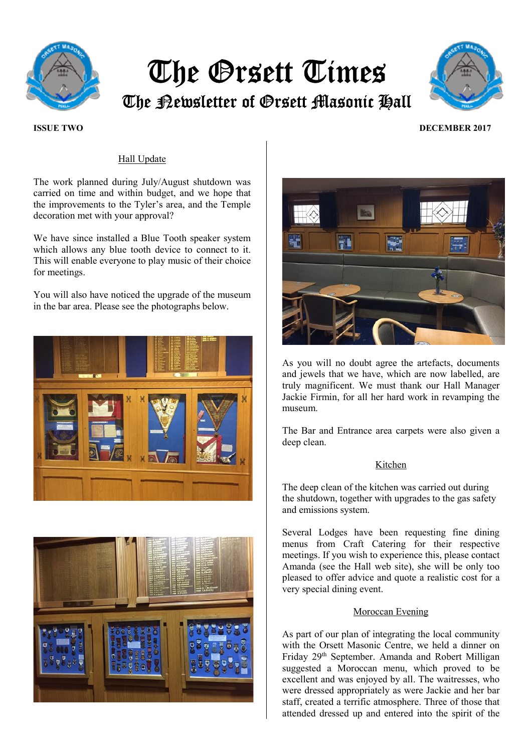

# The Orsett Times

The Newsletter of Orsett Masonic Hall



## ISSUE TWO DECEMBER 2017

# Hall Update

The work planned during July/August shutdown was carried on time and within budget, and we hope that the improvements to the Tyler's area, and the Temple decoration met with your approval?

We have since installed a Blue Tooth speaker system which allows any blue tooth device to connect to it. This will enable everyone to play music of their choice for meetings.

You will also have noticed the upgrade of the museum in the bar area. Please see the photographs below.







As you will no doubt agree the artefacts, documents and jewels that we have, which are now labelled, are truly magnificent. We must thank our Hall Manager Jackie Firmin, for all her hard work in revamping the museum.

The Bar and Entrance area carpets were also given a deep clean.

## Kitchen

The deep clean of the kitchen was carried out during the shutdown, together with upgrades to the gas safety and emissions system.

Several Lodges have been requesting fine dining menus from Craft Catering for their respective meetings. If you wish to experience this, please contact Amanda (see the Hall web site), she will be only too pleased to offer advice and quote a realistic cost for a very special dining event.

#### Moroccan Evening

As part of our plan of integrating the local community with the Orsett Masonic Centre, we held a dinner on Friday 29th September. Amanda and Robert Milligan suggested a Moroccan menu, which proved to be excellent and was enjoyed by all. The waitresses, who were dressed appropriately as were Jackie and her bar staff, created a terrific atmosphere. Three of those that attended dressed up and entered into the spirit of the